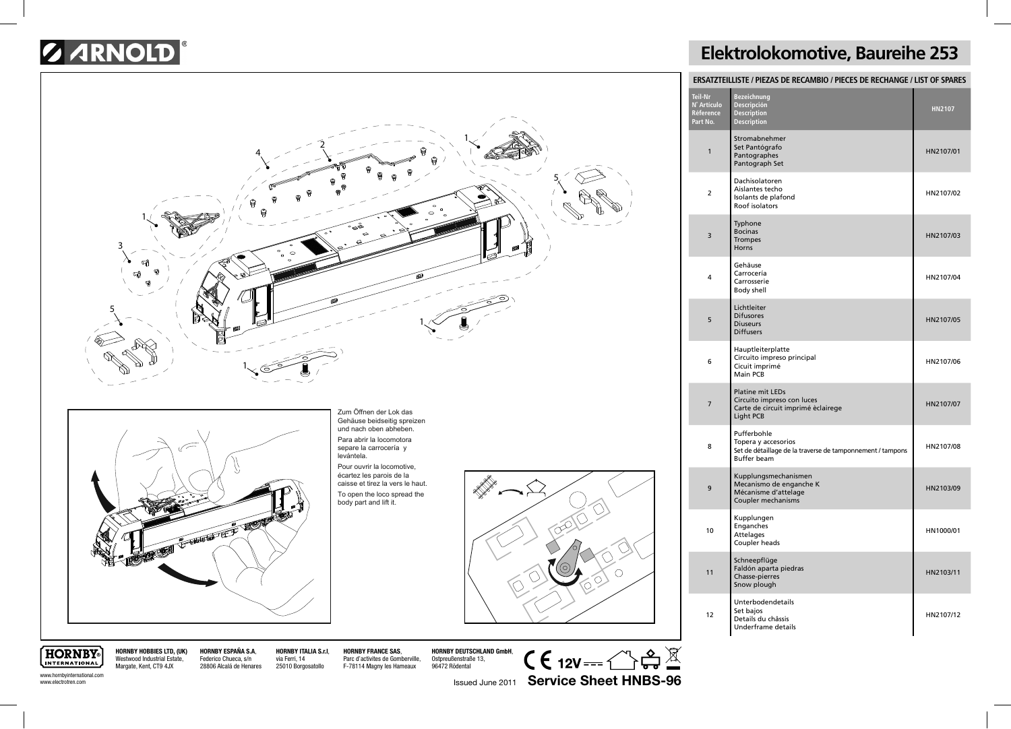## **SARNOLD**



## **Elektrolokomotive, Baureihe 253**

| ERSATZTEILLISTE / PIEZAS DE RECAMBIO / PIECES DE RECHANGE / LIST OF SPARES |                                                                                                                        |               |  |
|----------------------------------------------------------------------------|------------------------------------------------------------------------------------------------------------------------|---------------|--|
| <b>Teil-Nr</b><br>N° Artículo<br>Réference<br>Part No.                     | Bezeichnung<br>Descripción<br><b>Description</b><br><b>Description</b>                                                 | <b>HN2107</b> |  |
| $\mathbf{1}$                                                               | Stromabnehmer<br>Set Pantógrafo<br>Pantographes<br>Pantograph Set                                                      | HN2107/01     |  |
| $\overline{2}$                                                             | Dachisolatoren<br>Aislantes techo<br>Isolants de plafond<br>Roof isolators                                             | HN2107/02     |  |
| з                                                                          | Typhone<br><b>Bocinas</b><br><b>Trompes</b><br>Horns                                                                   | HN2107/03     |  |
| 4                                                                          | Gehäuse<br>Carrocería<br>Carrosserie<br>Body shell                                                                     | HN2107/04     |  |
| 5                                                                          | Lichtleiter<br><b>Difusores</b><br><b>Diuseurs</b><br><b>Diffusers</b>                                                 | HN2107/05     |  |
| 6                                                                          | Hauptleiterplatte<br>Circuito impreso principal<br>Cicuit imprimé<br>Main PCB                                          | HN2107/06     |  |
| 7                                                                          | <b>Platine mit LEDs</b><br>Circuito impreso con luces<br>Carte de circuit imprimé èclairege<br><b>Light PCB</b>        | HN2107/07     |  |
| 8                                                                          | Pufferbohle<br>Topera y accesorios<br>Set de détaillage de la traverse de tamponnement / tampons<br><b>Buffer beam</b> | HN2107/08     |  |
| 9                                                                          | Kupplungsmechanismen<br>Mecanismo de enganche K<br>Mécanisme d'attelage<br>Coupler mechanisms                          | HN2103/09     |  |
| 10                                                                         | Kupplungen<br>Enganches<br>Attelages<br>Coupler heads                                                                  | HN1000/01     |  |
| 11                                                                         | Schneepflüge<br>Faldón aparta piedras<br>Chasse-pierres<br>Snow plough                                                 | HN2103/11     |  |
| 12                                                                         | Unterbodendetails<br>Set bajos<br>Details du châssis<br>Underframe details                                             | HN2107/12     |  |

**HORNBY** INTERNATIONAL www.hornbyinternational.com **HORNBY HOBBIES LTD, (UK)** Westwood Industrial Estate, Margate, Kent, CT9 4JX

**HORNBY ESPAÑA S.A**, Federico Chueca, s/n 28806 Alcalá de Henares **HORNBY ITALIA S.r.l**, via Ferri, 14 25010 Borgosatollo

**HORNBY FRANCE SAS**, Parc d'activites de Gomberville, F-78114 Magny les Hameaux

**HORNBY DEUTSCHLAND GmbH**, Ostpreußenstraße 13, 96472 Rödental

 $C \in 12V \rightarrow \mathbb{C}$ Issued June 2011 **Service Sheet HNBS-96**

www.electrotren.com